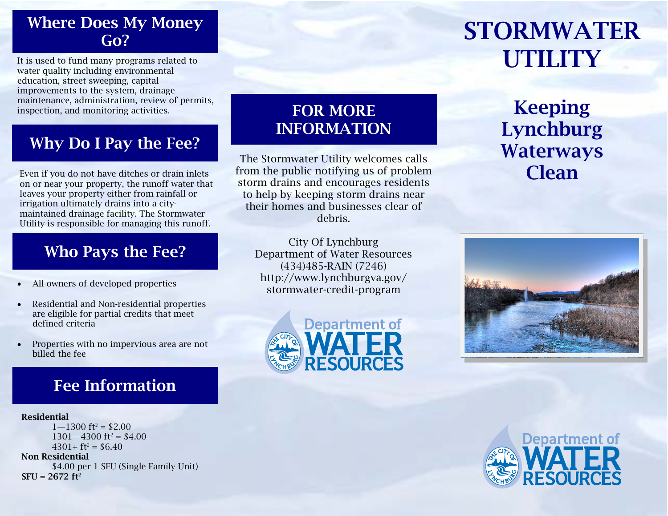### Where Does My Money Go?

It is used to fund many programs related to water quality including environmental education, street sweeping, capital improvements to the system, drainage maintenance, administration, review of permits, inspection, and monitoring activities.

# Why Do I Pay the Fee?

Even if you do not have ditches or drain inlets on or near your property, the runoff water that leaves your property either from rainfall or irrigation ultimately drains into a citymaintained drainage facility. The Stormwater Utility is responsible for managing this runoff.

## Who Pays the Fee?

- $\bullet$ All owners of developed properties
- $\bullet$  Residential and Non-residential properties are eligible for partial credits that meet defined criteria
- $\bullet$  Properties with no impervious area are not billed the fee

# Fee Information

#### Residential

 $1 - 1300$  ft<sup>2</sup> = \$2.00  $1301 - 4300$  ft<sup>2</sup> = \$4.00  $4301 + ft^2 = $6.40$ Non Residential \$4.00 per 1 SFU (Single Family Unit)  $SFU = 2672 ft^2$ 

### FOR MORE INFORMATION

The Stormwater Utility welcomes calls from the public notifying us of problem storm drains and encourages residents to help by keeping storm drains near their homes and businesses clear of debris.

City Of Lynchburg Department of Water Resources (434)485-RAIN (7246) http://www.lynchburgva.gov/ stormwater-credit-program



# STORMWATER UTILITY

Keeping Lynchburg Waterways **Clean**